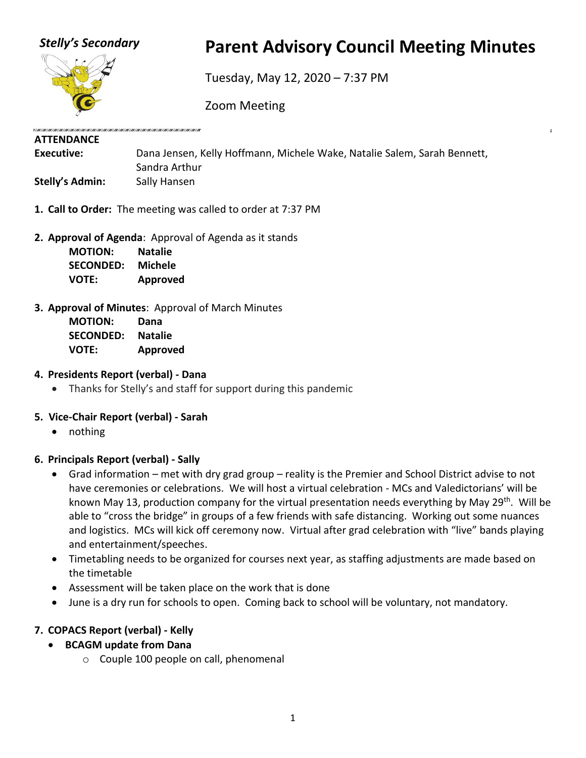

# *Stelly's Secondary* **Parent Advisory Council Meeting Minutes**

Tuesday, May 12, 2020 – 7:37 PM

Zoom Meeting

# **ATTENDANCE**

| Executive:             | Dana Jensen, Kelly Hoffmann, Michele Wake, Natalie Salem, Sarah Bennett, |
|------------------------|--------------------------------------------------------------------------|
|                        | Sandra Arthur                                                            |
| <b>Stelly's Admin:</b> | Sally Hansen                                                             |

- **1. Call to Order:** The meeting was called to order at 7:37 PM
- **2. Approval of Agenda**: Approval of Agenda as it stands

| <b>MOTION:</b>   | <b>Natalie</b> |
|------------------|----------------|
| <b>SECONDED:</b> | <b>Michele</b> |
| <b>VOTE:</b>     | Approved       |

# **3. Approval of Minutes**: Approval of March Minutes

**MOTION: Dana SECONDED: Natalie VOTE: Approved**

### **4. Presidents Report (verbal) - Dana**

• Thanks for Stelly's and staff for support during this pandemic

# **5. Vice-Chair Report (verbal) - Sarah**

• nothing

#### **6. Principals Report (verbal) - Sally**

- Grad information met with dry grad group reality is the Premier and School District advise to not have ceremonies or celebrations. We will host a virtual celebration - MCs and Valedictorians' will be known May 13, production company for the virtual presentation needs everything by May 29<sup>th</sup>. Will be able to "cross the bridge" in groups of a few friends with safe distancing. Working out some nuances and logistics. MCs will kick off ceremony now. Virtual after grad celebration with "live" bands playing and entertainment/speeches.
- Timetabling needs to be organized for courses next year, as staffing adjustments are made based on the timetable
- Assessment will be taken place on the work that is done
- June is a dry run for schools to open. Coming back to school will be voluntary, not mandatory.

# **7. COPACS Report (verbal) - Kelly**

- **BCAGM update from Dana**
	- o Couple 100 people on call, phenomenal